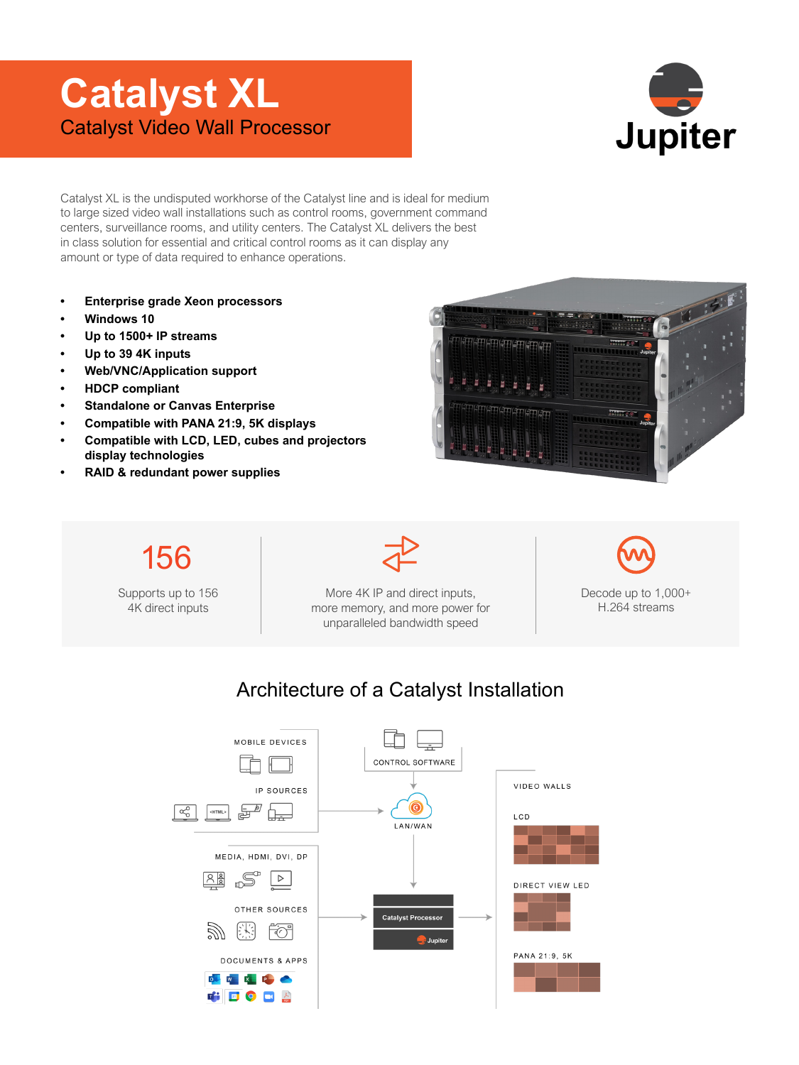## **Catalyst XL** Catalyst Video Wall Processor



Catalyst XL is the undisputed workhorse of the Catalyst line and is ideal for medium to large sized video wall installations such as control rooms, government command centers, surveillance rooms, and utility centers. The Catalyst XL delivers the best in class solution for essential and critical control rooms as it can display any amount or type of data required to enhance operations.

- **Enterprise grade Xeon processors**
- **Windows 10**
- **Up to 1500+ IP streams**
- **Up to 39 4K inputs**
- **Web/VNC/Application support**
- **HDCP compliant**
- **Standalone or Canvas Enterprise**
- **Compatible with PANA 21:9, 5K displays**
- **Compatible with LCD, LED, cubes and projectors display technologies**
- **RAID & redundant power supplies**





## Architecture of a Catalyst Installation